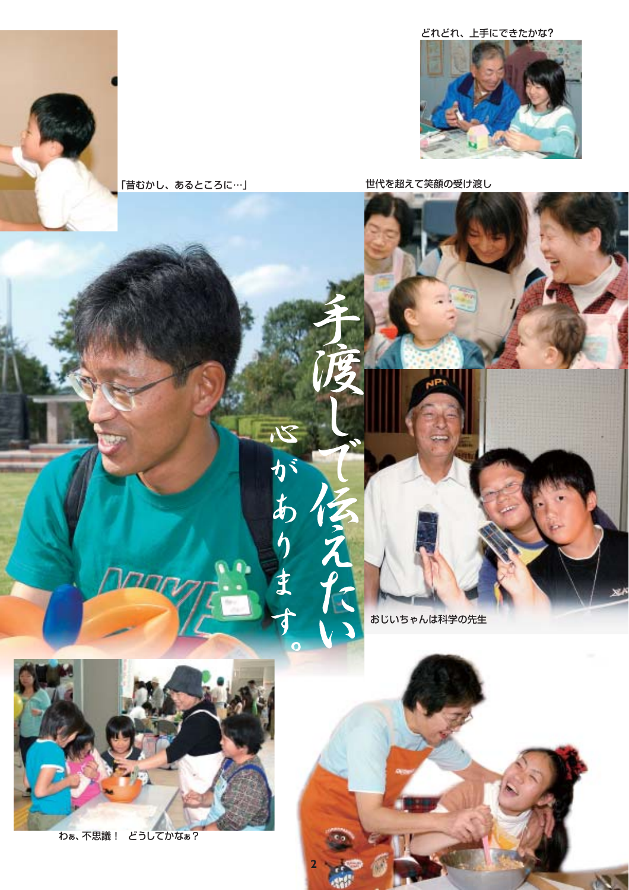わ**あ**、不思議! どうしてかな**あ**?



20r

おじいちゃんは科学の先生

 $\mathbf{N}$ 

**2**



「昔むかし、あるところに…」







どれどれ、上手にできたかな?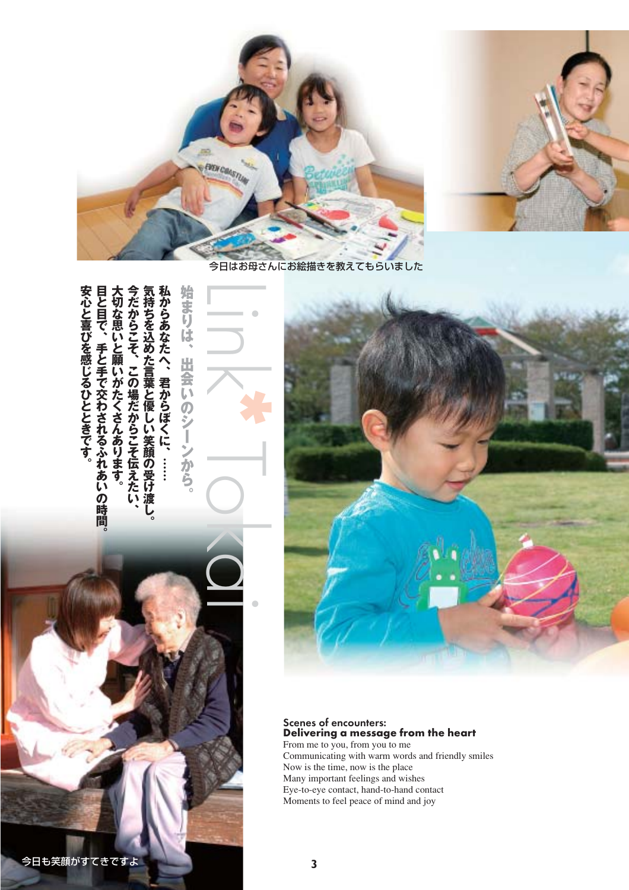

o

**Q** 

i



今日はお母さんにお絵描きを教えてもらいました



**。**

**間 。**



## Scenes of encounters: **Delivering a message from the heart**

From me to you, from you to me Communicating with warm words and friendly smiles Now is the time, now is the place Many important feelings and wishes Eye-to-eye contact, hand-to-hand contact Moments to feel peace of mind and joy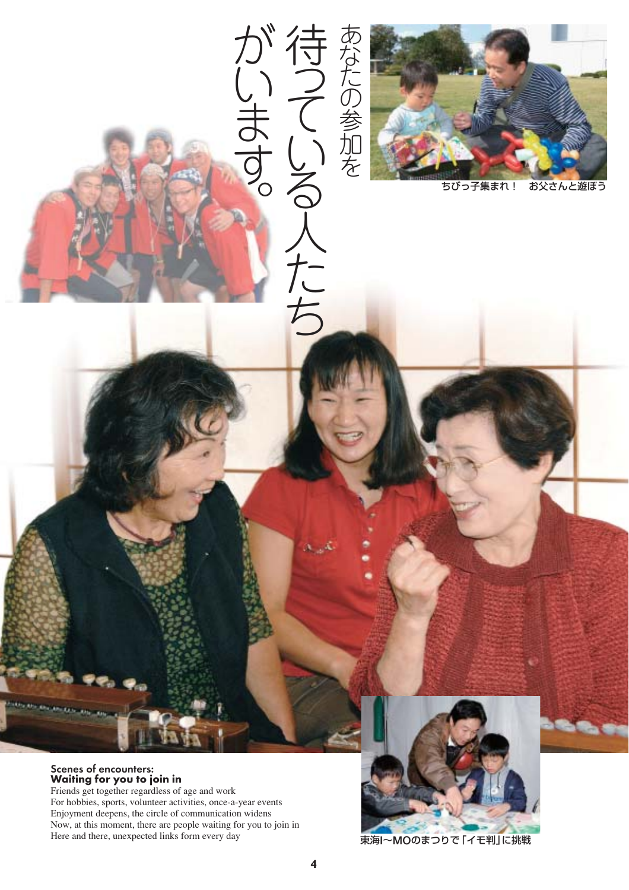

あ な た の

待

が

い

ま

す

 $\begin{bmatrix} 0 \\ 0 \end{bmatrix}$ 

ーン

て

い

る

人

た

ち

参

加

を

ちびっ子集まれ! お父さんと遊ぼう

## Scenes of encounters: **Waiting for you to join in**

**5 4** Link**\*** Friends get together regardless of age and work For hobbies, sports, volunteer activities, once-a-year events Enjoyment deepens, the circle of communication widens Now, at this moment, there are people waiting for you to join in Here and there, unexpected links form every day

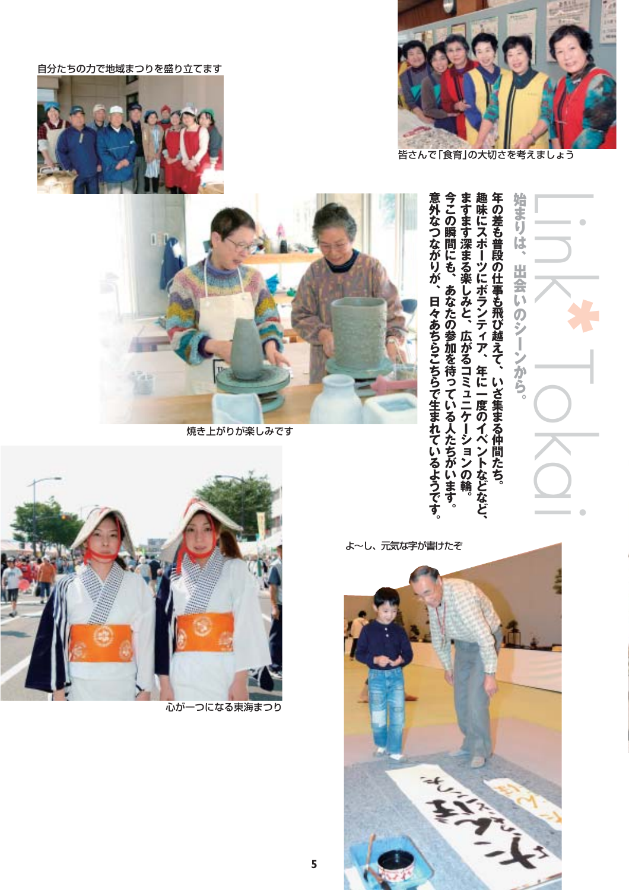自分たちの力で地域まつりを盛り立てます





皆さんで「食育」の大切さを考えましょう



**年 の 差 も 普 段 の 仕 事 も 飛 び 越 え て 、 い ざ 集 ま る 仲 間 た ち 。 趣 味 に ス ポ ー ツ に ボ ラ ン テ ィ ア 、 年 に 一 度 の イ ベ ン ト な ど な ど 、 ま す ま す 深 ま る 楽 し み と 、 広 が る コ ) ュ ニ ケ ー シ ョ ン の 輪 。 今 こ の 瞬 間 に も 、 あ な た の 参 加 を 待 っ て い る 人 た ち が い ま す 。 意 外 な つ な が り が 、 日 々 あ ち ら こ ち ら で 生 ま れ て い る よ う で す 。**



焼き上がりが楽しみです





心が一つになる東海まつり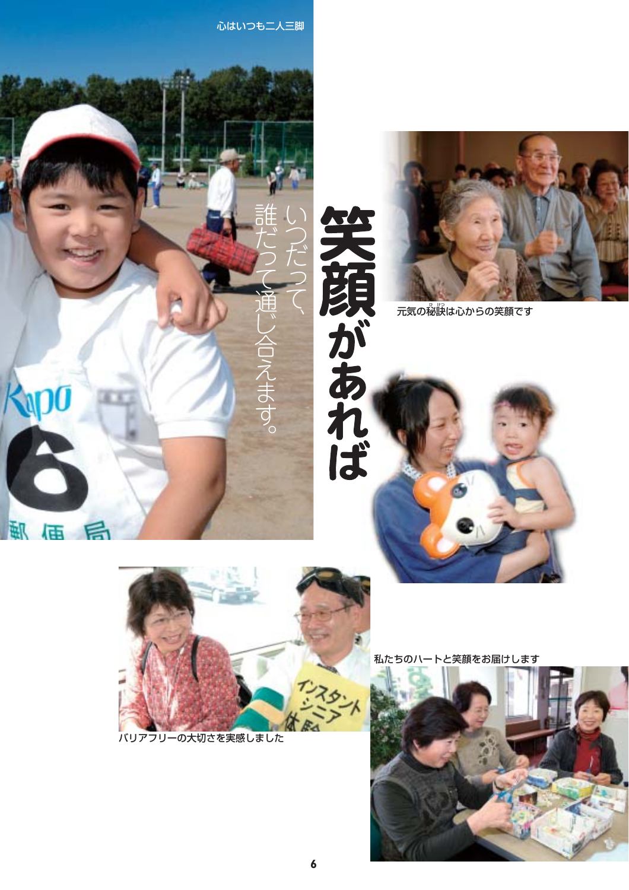



元気の秘訣は心からの笑顔です





バリアフリーの大切さを実感しました

私たちのハートと笑顔をお届けします